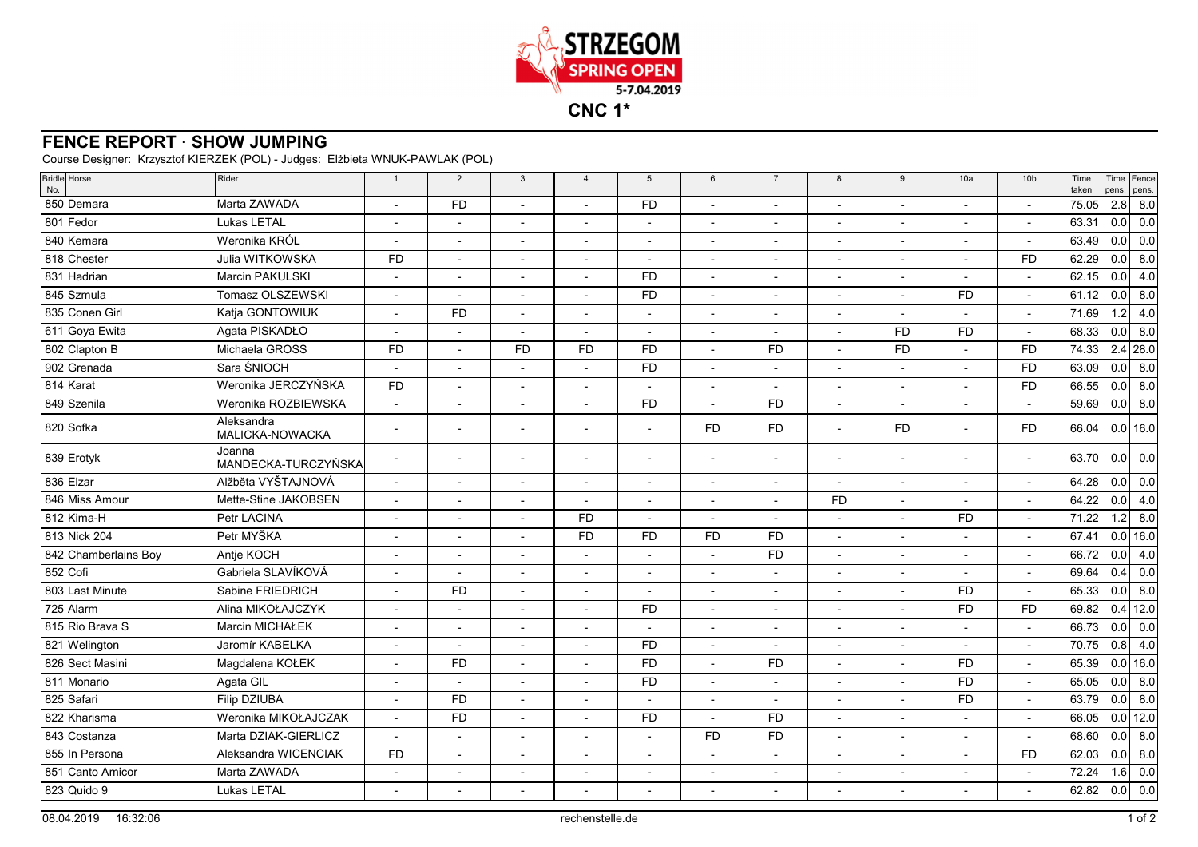

## **FENCE REPORT · SHOW JUMPING**

Course Designer: Krzysztof KIERZEK (POL) - Judges: Elżbieta WNUK-PAWLAK (POL)

| <b>Bridle</b> Horse<br>No. | Rider                         | $\overline{1}$           | 2                        | $\mathbf{3}$             | $\overline{4}$ | 5         | 6                        | $\overline{7}$           | 8                        | 9                        | 10a                      | 10 <sub>b</sub>          | Time<br>taken | pens.   | Time Fence<br>pens. |
|----------------------------|-------------------------------|--------------------------|--------------------------|--------------------------|----------------|-----------|--------------------------|--------------------------|--------------------------|--------------------------|--------------------------|--------------------------|---------------|---------|---------------------|
| 850 Demara                 | Marta ZAWADA                  |                          | <b>FD</b>                | $\overline{a}$           |                | <b>FD</b> |                          | $\overline{a}$           |                          |                          | $\sim$                   | $\overline{a}$           | 75.05         | 2.8     | 8.0                 |
| 801 Fedor                  | Lukas LETAL                   |                          |                          |                          |                |           |                          |                          |                          |                          |                          |                          | 63.31         | 0.0     | 0.0                 |
| 840 Kemara                 | Weronika KRÓL                 |                          | $\overline{\phantom{a}}$ | $\overline{\phantom{a}}$ |                |           |                          |                          |                          |                          |                          | $\overline{\phantom{a}}$ | 63.49         | 0.0     | 0.0                 |
| 818 Chester                | Julia WITKOWSKA               | <b>FD</b>                | $\blacksquare$           | $\overline{\phantom{a}}$ |                |           |                          | $\overline{a}$           |                          |                          |                          | <b>FD</b>                | 62.29         | 0.0     | 8.0                 |
| 831 Hadrian                | Marcin PAKULSKI               |                          |                          |                          |                | <b>FD</b> |                          |                          |                          |                          |                          | $\sim$                   | 62.15         | 0.0     | 4.0                 |
| 845 Szmula                 | Tomasz OLSZEWSKI              |                          |                          | $\sim$                   |                | <b>FD</b> |                          |                          |                          | $\blacksquare$           | <b>FD</b>                | $\sim$                   | 61.12         | 0.0     | 8.0                 |
| 835 Conen Girl             | Katja GONTOWIUK               |                          | <b>FD</b>                | $\overline{\phantom{a}}$ |                |           |                          | $\overline{\phantom{a}}$ |                          |                          |                          | $\overline{\phantom{a}}$ | 71.69         | 1.2     | 4.0                 |
| 611 Goya Ewita             | Agata PISKADŁO                |                          |                          | $\overline{a}$           |                |           |                          |                          |                          | <b>FD</b>                | <b>FD</b>                | $\overline{a}$           | 68.33         | 0.0     | 8.0                 |
| 802 Clapton B              | Michaela GROSS                | <b>FD</b>                |                          | <b>FD</b>                | <b>FD</b>      | <b>FD</b> |                          | <b>FD</b>                |                          | <b>FD</b>                | $\overline{a}$           | <b>FD</b>                | 74.33         |         | $2.4$ 28.0          |
| 902 Grenada                | Sara ŚNIOCH                   |                          | $\overline{\phantom{a}}$ | $\overline{\phantom{a}}$ |                | <b>FD</b> |                          |                          |                          |                          | $\blacksquare$           | <b>FD</b>                | 63.09         | 0.0     | 8.0                 |
| 814 Karat                  | Weronika JERCZYŃSKA           | <b>FD</b>                | $\overline{\phantom{a}}$ | $\blacksquare$           |                |           | $\blacksquare$           | $\overline{\phantom{a}}$ |                          | $\blacksquare$           | $\blacksquare$           | <b>FD</b>                | 66.55         | 0.0     | 8.0                 |
| 849 Szenila                | Weronika ROZBIEWSKA           |                          |                          |                          |                | <b>FD</b> |                          | <b>FD</b>                |                          |                          |                          | $\sim$                   | 59.69         | 0.0     | 8.0                 |
| 820 Sofka                  | Aleksandra<br>MALICKA-NOWACKA | $\overline{a}$           |                          |                          |                |           | <b>FD</b>                | <b>FD</b>                |                          | <b>FD</b>                | $\overline{a}$           | <b>FD</b>                | 66.04         |         | $0.0$ 16.0          |
| 839 Erotyk                 | Joanna<br>MANDECKA-TURCZYŃSKA | $\overline{\phantom{a}}$ | $\overline{a}$           |                          |                |           |                          | $\sim$                   |                          |                          | $\overline{a}$           | $\sim$                   | 63.70         | 0.0     | 0.0                 |
| 836 Elzar                  | Alžběta VYŠTAJNOVÁ            | $\overline{\phantom{a}}$ | $\blacksquare$           | $\sim$                   | $\blacksquare$ |           | $\overline{\phantom{a}}$ | $\overline{\phantom{a}}$ | $\overline{\phantom{a}}$ | $\overline{\phantom{a}}$ | $\overline{\phantom{a}}$ | $\overline{\phantom{a}}$ | 64.28         | 0.0     | 0.0                 |
| 846 Miss Amour             | Mette-Stine JAKOBSEN          |                          |                          | $\overline{a}$           |                |           |                          | $\overline{a}$           | <b>FD</b>                |                          |                          | $\overline{a}$           | 64.22         | $0.0\,$ | 4.0                 |
| 812 Kima-H                 | Petr LACINA                   |                          |                          |                          | <b>FD</b>      |           |                          |                          |                          |                          | <b>FD</b>                | $\overline{a}$           | 71.22         | 1.2     | 8.0                 |
| 813 Nick 204               | Petr MYŠKA                    |                          |                          |                          | <b>FD</b>      | <b>FD</b> | <b>FD</b>                | <b>FD</b>                |                          |                          |                          |                          | 67.41         |         | $0.0$ 16.0          |
| 842 Chamberlains Boy       | Antje KOCH                    |                          |                          | $\overline{\phantom{a}}$ |                |           | $\blacksquare$           | <b>FD</b>                |                          |                          |                          | $\blacksquare$           | 66.72         | 0.0     | 4.0                 |
| 852 Cofi                   | Gabriela SLAVÍKOVÁ            |                          |                          |                          |                |           |                          |                          |                          |                          |                          | $\overline{a}$           | 69.64         | 0.4     | 0.0                 |
| 803 Last Minute            | Sabine FRIEDRICH              |                          | <b>FD</b>                | $\overline{\phantom{a}}$ |                |           |                          |                          |                          | $\overline{\phantom{a}}$ | <b>FD</b>                | $\sim$                   | 65.33         | 0.0     | 8.0                 |
| 725 Alarm                  | Alina MIKOŁAJCZYK             | $\overline{\phantom{a}}$ | $\overline{\phantom{a}}$ | $\sim$                   | $\overline{a}$ | <b>FD</b> | $\sim$                   | $\overline{a}$           |                          | $\blacksquare$           | <b>FD</b>                | <b>FD</b>                | 69.82         |         | $0.4$ 12.0          |
| 815 Rio Brava S            | <b>Marcin MICHAŁEK</b>        |                          | $\overline{\phantom{a}}$ | $\overline{a}$           |                |           |                          | $\overline{a}$           |                          |                          | $\overline{a}$           | $\overline{a}$           | 66.73         | 0.0     | 0.0                 |
| 821 Welington              | Jaromír KABELKA               |                          |                          |                          |                | <b>FD</b> |                          |                          |                          |                          |                          | $\overline{a}$           | 70.75         | 0.8     | 4.0                 |
| 826 Sect Masini            | Magdalena KOŁEK               |                          | <b>FD</b>                |                          |                | <b>FD</b> |                          | <b>FD</b>                |                          |                          | <b>FD</b>                |                          | 65.39         |         | $0.0$ 16.0          |
| 811 Monario                | Agata GIL                     |                          | $\overline{\phantom{a}}$ | $\overline{\phantom{a}}$ |                | <b>FD</b> | $\overline{\phantom{a}}$ | $\overline{\phantom{a}}$ |                          |                          | <b>FD</b>                | $\sim$                   | 65.05         | 0.0     | 8.0                 |
| 825 Safari                 | Filip DZIUBA                  |                          | <b>FD</b>                |                          |                |           |                          | $\overline{a}$           |                          |                          | FD                       | $\sim$                   | 63.79         | 0.0     | 8.0                 |
| $822$ Kharisma             | Weronika MIKOŁAJCZAK          | $\overline{a}$           | <b>FD</b>                | $\overline{\phantom{a}}$ |                | <b>FD</b> | $\sim$                   | <b>FD</b>                |                          | $\overline{a}$           | $\overline{a}$           | $\overline{\phantom{a}}$ | 66.05         |         | $0.0$ 12.0          |
| 843 Costanza               | Marta DZIAK-GIERLICZ          |                          | $\overline{\phantom{a}}$ | $\overline{\phantom{a}}$ |                |           | <b>FD</b>                | <b>FD</b>                |                          |                          | $\blacksquare$           | $\sim$                   | 68.60         | 0.0     | 8.0                 |
| 855 In Persona             | Aleksandra WICENCIAK          | <b>FD</b>                | $\sim$                   | $\sim$                   |                |           |                          |                          |                          |                          |                          | <b>FD</b>                | 62.03         | 0.0     | 8.0                 |
| 851 Canto Amicor           | Marta ZAWADA                  |                          |                          |                          |                |           |                          |                          |                          |                          |                          |                          | 72.24         | 1.6     | 0.0                 |
| 823 Quido 9                | Lukas LETAL                   |                          |                          |                          |                |           |                          |                          |                          |                          |                          |                          | 62.82         | 0.0     | 0.0                 |
|                            |                               |                          |                          |                          |                |           |                          |                          |                          |                          |                          |                          |               |         |                     |